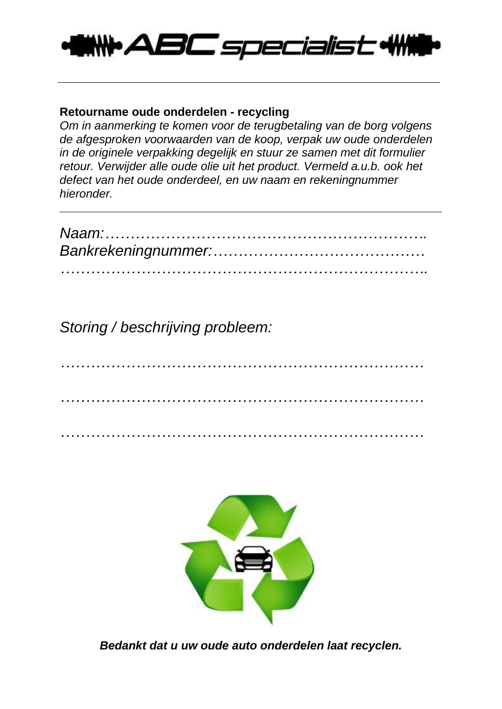

## **Retourname oude onderdelen - recycling**

*Om in aanmerking te komen voor de terugbetaling van de borg volgens de afgesproken voorwaarden van de koop, verpak uw oude onderdelen in de originele verpakking degelijk en stuur ze samen met dit formulier retour. Verwijder alle oude olie uit het product. Vermeld a.u.b. ook het defect van het oude onderdeel, en uw naam en rekeningnummer hieronder.*

*Storing / beschrijving probleem:*

*……………………………………………………………… ……………………………………………………………… ………………………………………………………………*



*Bedankt dat u uw oude auto onderdelen laat recyclen.*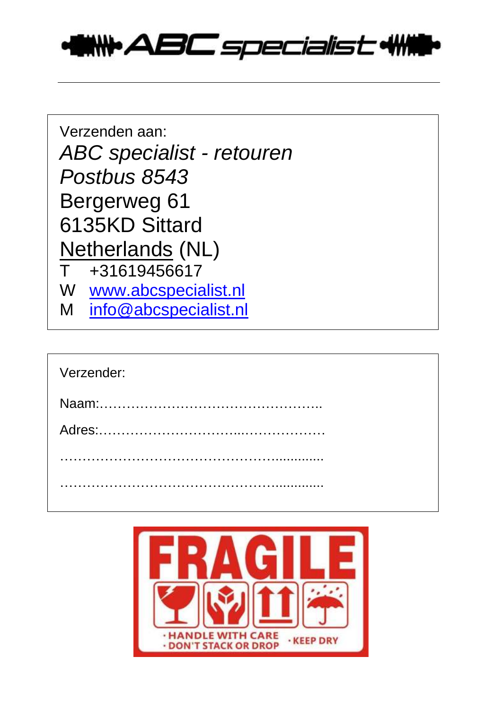

| Verzenden aan:                   |  |
|----------------------------------|--|
| <b>ABC</b> specialist - retouren |  |
| Postbus 8543                     |  |
| Bergerweg 61                     |  |
| 6135KD Sittard                   |  |
| <b>Netherlands (NL)</b>          |  |
| +31619456617<br>T.               |  |
| W www.abcspecialist.nl           |  |
| info@abcspecialist.nl<br>M       |  |

| Verzender: |  |
|------------|--|
|            |  |
|            |  |
|            |  |
|            |  |